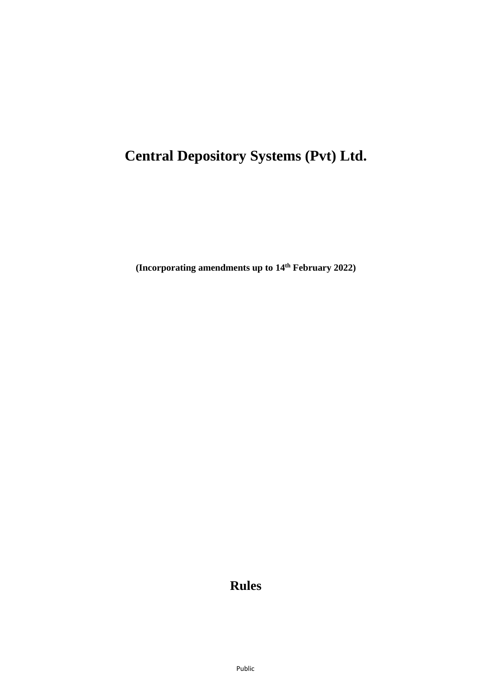# **Central Depository Systems (Pvt) Ltd.**

**(Incorporating amendments up to 14th February 2022)**

## **Rules**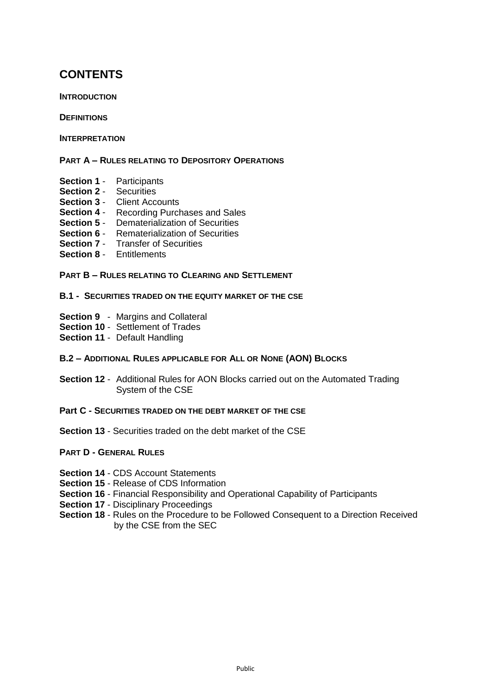## **CONTENTS**

**INTRODUCTION**

**DEFINITIONS**

**INTERPRETATION**

**PART A – RULES RELATING TO DEPOSITORY OPERATIONS**

- **Section 1** Participants
- **Section 2** Securities
- **Section 3** Client Accounts
- **Section 4** Recording Purchases and Sales
- **Section 5** Dematerialization of Securities
- **Section 6** Rematerialization of Securities
- **Section 7** Transfer of Securities
- **Section 8** Entitlements

#### **PART B – RULES RELATING TO CLEARING AND SETTLEMENT**

#### **B.1 - SECURITIES TRADED ON THE EQUITY MARKET OF THE CSE**

- **Section 9** Margins and Collateral
- **Section 10** Settlement of Trades
- **Section 11** Default Handling

#### **B.2 – ADDITIONAL RULES APPLICABLE FOR ALL OR NONE (AON) BLOCKS**

- **Section 12** Additional Rules for AON Blocks carried out on the Automated Trading System of the CSE
- **Part C - SECURITIES TRADED ON THE DEBT MARKET OF THE CSE**
- **Section 13** Securities traded on the debt market of the CSE

#### **PART D - GENERAL RULES**

- **Section 14** CDS Account Statements
- **Section 15** Release of CDS Information
- **Section 16** Financial Responsibility and Operational Capability of Participants
- **Section 17 Disciplinary Proceedings**
- **Section 18** Rules on the Procedure to be Followed Consequent to a Direction Received by the CSE from the SEC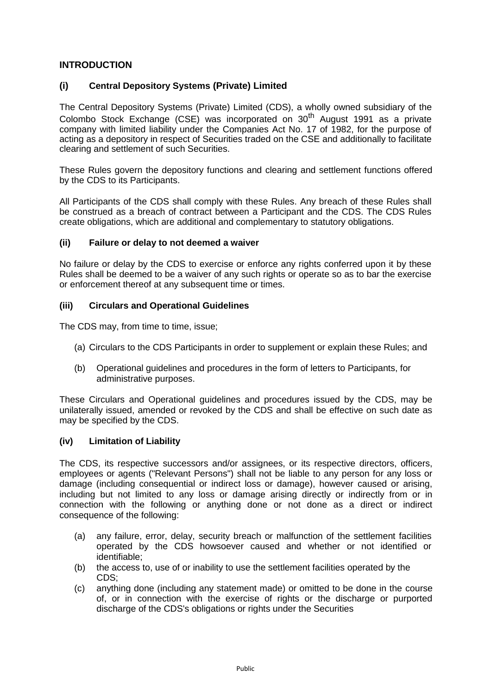## **INTRODUCTION**

## **(i) Central Depository Systems (Private) Limited**

The Central Depository Systems (Private) Limited (CDS), a wholly owned subsidiary of the Colombo Stock Exchange (CSE) was incorporated on  $30<sup>th</sup>$  August 1991 as a private company with limited liability under the Companies Act No. 17 of 1982, for the purpose of acting as a depository in respect of Securities traded on the CSE and additionally to facilitate clearing and settlement of such Securities.

These Rules govern the depository functions and clearing and settlement functions offered by the CDS to its Participants.

All Participants of the CDS shall comply with these Rules. Any breach of these Rules shall be construed as a breach of contract between a Participant and the CDS. The CDS Rules create obligations, which are additional and complementary to statutory obligations.

## **(ii) Failure or delay to not deemed a waiver**

No failure or delay by the CDS to exercise or enforce any rights conferred upon it by these Rules shall be deemed to be a waiver of any such rights or operate so as to bar the exercise or enforcement thereof at any subsequent time or times.

## **(iii) Circulars and Operational Guidelines**

The CDS may, from time to time, issue;

- (a) Circulars to the CDS Participants in order to supplement or explain these Rules; and
- (b) Operational guidelines and procedures in the form of letters to Participants, for administrative purposes.

These Circulars and Operational guidelines and procedures issued by the CDS, may be unilaterally issued, amended or revoked by the CDS and shall be effective on such date as may be specified by the CDS.

## **(iv) Limitation of Liability**

The CDS, its respective successors and/or assignees, or its respective directors, officers, employees or agents ("Relevant Persons") shall not be liable to any person for any loss or damage (including consequential or indirect loss or damage), however caused or arising, including but not limited to any loss or damage arising directly or indirectly from or in connection with the following or anything done or not done as a direct or indirect consequence of the following:

- (a) any failure, error, delay, security breach or malfunction of the settlement facilities operated by the CDS howsoever caused and whether or not identified or identifiable;
- (b) the access to, use of or inability to use the settlement facilities operated by the CDS;
- (c) anything done (including any statement made) or omitted to be done in the course of, or in connection with the exercise of rights or the discharge or purported discharge of the CDS's obligations or rights under the Securities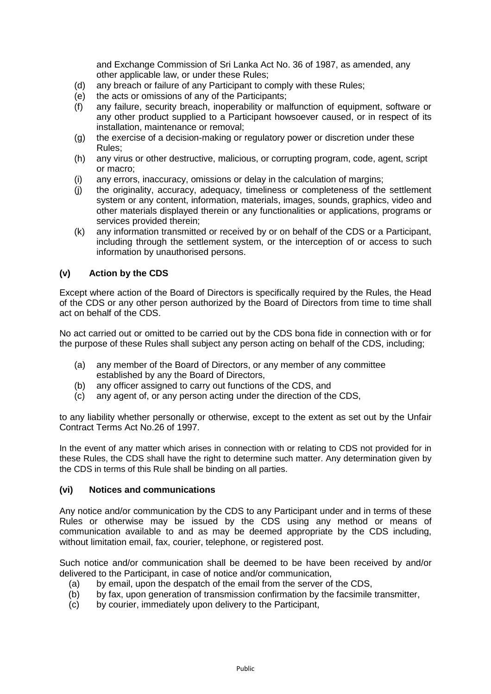and Exchange Commission of Sri Lanka Act No. 36 of 1987, as amended, any other applicable law, or under these Rules;

- (d) any breach or failure of any Participant to comply with these Rules;
- (e) the acts or omissions of any of the Participants;
- (f) any failure, security breach, inoperability or malfunction of equipment, software or any other product supplied to a Participant howsoever caused, or in respect of its installation, maintenance or removal;
- (g) the exercise of a decision-making or regulatory power or discretion under these Rules;
- (h) any virus or other destructive, malicious, or corrupting program, code, agent, script or macro;
- (i) any errors, inaccuracy, omissions or delay in the calculation of margins;
- (j) the originality, accuracy, adequacy, timeliness or completeness of the settlement system or any content, information, materials, images, sounds, graphics, video and other materials displayed therein or any functionalities or applications, programs or services provided therein;
- (k) any information transmitted or received by or on behalf of the CDS or a Participant, including through the settlement system, or the interception of or access to such information by unauthorised persons.

## **(v) Action by the CDS**

Except where action of the Board of Directors is specifically required by the Rules, the Head of the CDS or any other person authorized by the Board of Directors from time to time shall act on behalf of the CDS.

No act carried out or omitted to be carried out by the CDS bona fide in connection with or for the purpose of these Rules shall subject any person acting on behalf of the CDS, including;

- (a) any member of the Board of Directors, or any member of any committee established by any the Board of Directors,
- (b) any officer assigned to carry out functions of the CDS, and
- (c) any agent of, or any person acting under the direction of the CDS,

to any liability whether personally or otherwise, except to the extent as set out by the Unfair Contract Terms Act No.26 of 1997.

In the event of any matter which arises in connection with or relating to CDS not provided for in these Rules, the CDS shall have the right to determine such matter. Any determination given by the CDS in terms of this Rule shall be binding on all parties.

#### **(vi) Notices and communications**

Any notice and/or communication by the CDS to any Participant under and in terms of these Rules or otherwise may be issued by the CDS using any method or means of communication available to and as may be deemed appropriate by the CDS including, without limitation email, fax, courier, telephone, or registered post.

Such notice and/or communication shall be deemed to be have been received by and/or delivered to the Participant, in case of notice and/or communication,

- (a) by email, upon the despatch of the email from the server of the CDS,
- (b) by fax, upon generation of transmission confirmation by the facsimile transmitter,
- (c) by courier, immediately upon delivery to the Participant,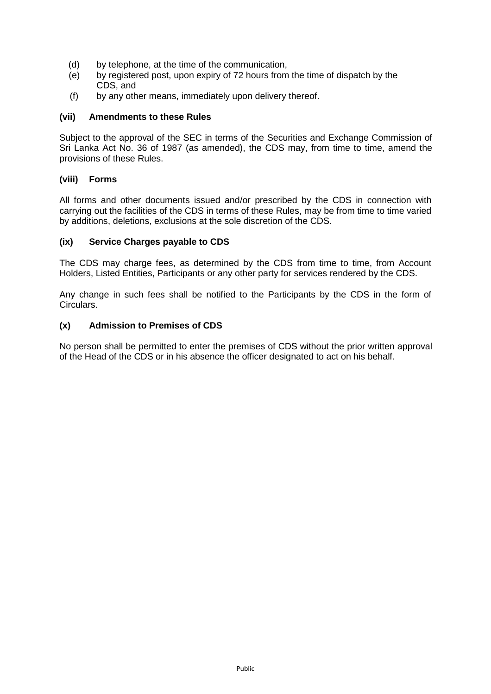- (d) by telephone, at the time of the communication,
- (e) by registered post, upon expiry of 72 hours from the time of dispatch by the CDS, and
- (f) by any other means, immediately upon delivery thereof.

## **(vii) Amendments to these Rules**

Subject to the approval of the SEC in terms of the Securities and Exchange Commission of Sri Lanka Act No. 36 of 1987 (as amended), the CDS may, from time to time, amend the provisions of these Rules.

## **(viii) Forms**

All forms and other documents issued and/or prescribed by the CDS in connection with carrying out the facilities of the CDS in terms of these Rules, may be from time to time varied by additions, deletions, exclusions at the sole discretion of the CDS.

## **(ix) Service Charges payable to CDS**

The CDS may charge fees, as determined by the CDS from time to time, from Account Holders, Listed Entities, Participants or any other party for services rendered by the CDS.

Any change in such fees shall be notified to the Participants by the CDS in the form of Circulars.

## **(x) Admission to Premises of CDS**

No person shall be permitted to enter the premises of CDS without the prior written approval of the Head of the CDS or in his absence the officer designated to act on his behalf.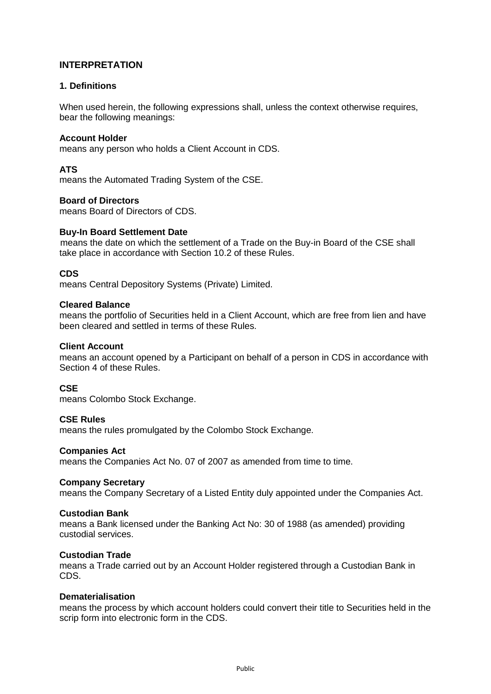## **INTERPRETATION**

## **1. Definitions**

When used herein, the following expressions shall, unless the context otherwise requires, bear the following meanings:

### **Account Holder**

means any person who holds a Client Account in CDS.

## **ATS**

means the Automated Trading System of the CSE.

## **Board of Directors**

means Board of Directors of CDS.

#### **Buy-In Board Settlement Date**

means the date on which the settlement of a Trade on the Buy-in Board of the CSE shall take place in accordance with Section 10.2 of these Rules.

## **CDS**

means Central Depository Systems (Private) Limited.

#### **Cleared Balance**

means the portfolio of Securities held in a Client Account, which are free from lien and have been cleared and settled in terms of these Rules.

#### **Client Account**

means an account opened by a Participant on behalf of a person in CDS in accordance with Section 4 of these Rules.

#### **CSE**

means Colombo Stock Exchange.

### **CSE Rules**

means the rules promulgated by the Colombo Stock Exchange.

### **Companies Act**

means the Companies Act No. 07 of 2007 as amended from time to time.

#### **Company Secretary**

means the Company Secretary of a Listed Entity duly appointed under the Companies Act.

#### **Custodian Bank**

means a Bank licensed under the Banking Act No: 30 of 1988 (as amended) providing custodial services.

#### **Custodian Trade**

means a Trade carried out by an Account Holder registered through a Custodian Bank in CDS.

#### **Dematerialisation**

means the process by which account holders could convert their title to Securities held in the scrip form into electronic form in the CDS.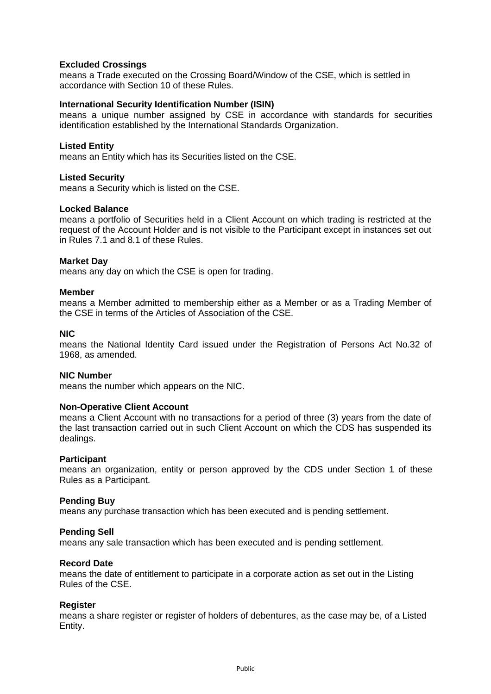## **Excluded Crossings**

means a Trade executed on the Crossing Board/Window of the CSE, which is settled in accordance with Section 10 of these Rules.

#### **International Security Identification Number (ISIN)**

means a unique number assigned by CSE in accordance with standards for securities identification established by the International Standards Organization.

#### **Listed Entity**

means an Entity which has its Securities listed on the CSE.

#### **Listed Security**

means a Security which is listed on the CSE.

#### **Locked Balance**

means a portfolio of Securities held in a Client Account on which trading is restricted at the request of the Account Holder and is not visible to the Participant except in instances set out in Rules 7.1 and 8.1 of these Rules.

#### **Market Day**

means any day on which the CSE is open for trading.

#### **Member**

means a Member admitted to membership either as a Member or as a Trading Member of the CSE in terms of the Articles of Association of the CSE.

#### **NIC**

means the National Identity Card issued under the Registration of Persons Act No.32 of 1968, as amended.

#### **NIC Number**

means the number which appears on the NIC.

#### **Non-Operative Client Account**

means a Client Account with no transactions for a period of three (3) years from the date of the last transaction carried out in such Client Account on which the CDS has suspended its dealings.

#### **Participant**

means an organization, entity or person approved by the CDS under Section 1 of these Rules as a Participant.

#### **Pending Buy**

means any purchase transaction which has been executed and is pending settlement.

#### **Pending Sell**

means any sale transaction which has been executed and is pending settlement.

### **Record Date**

means the date of entitlement to participate in a corporate action as set out in the Listing Rules of the CSE.

#### **Register**

means a share register or register of holders of debentures, as the case may be, of a Listed Entity.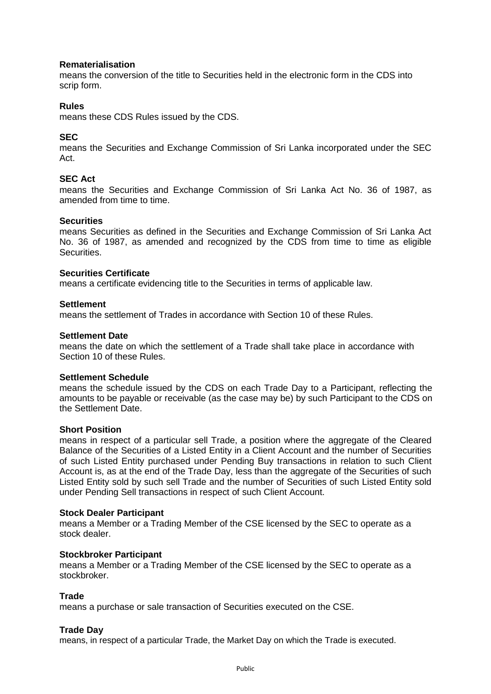## **Rematerialisation**

means the conversion of the title to Securities held in the electronic form in the CDS into scrip form.

## **Rules**

means these CDS Rules issued by the CDS.

## **SEC**

means the Securities and Exchange Commission of Sri Lanka incorporated under the SEC Act.

## **SEC Act**

means the Securities and Exchange Commission of Sri Lanka Act No. 36 of 1987, as amended from time to time.

#### **Securities**

means Securities as defined in the Securities and Exchange Commission of Sri Lanka Act No. 36 of 1987, as amended and recognized by the CDS from time to time as eligible Securities.

## **Securities Certificate**

means a certificate evidencing title to the Securities in terms of applicable law.

#### **Settlement**

means the settlement of Trades in accordance with Section 10 of these Rules.

#### **Settlement Date**

means the date on which the settlement of a Trade shall take place in accordance with Section 10 of these Rules.

#### **Settlement Schedule**

means the schedule issued by the CDS on each Trade Day to a Participant, reflecting the amounts to be payable or receivable (as the case may be) by such Participant to the CDS on the Settlement Date.

## **Short Position**

means in respect of a particular sell Trade, a position where the aggregate of the Cleared Balance of the Securities of a Listed Entity in a Client Account and the number of Securities of such Listed Entity purchased under Pending Buy transactions in relation to such Client Account is, as at the end of the Trade Day, less than the aggregate of the Securities of such Listed Entity sold by such sell Trade and the number of Securities of such Listed Entity sold under Pending Sell transactions in respect of such Client Account.

#### **Stock Dealer Participant**

means a Member or a Trading Member of the CSE licensed by the SEC to operate as a stock dealer.

#### **Stockbroker Participant**

means a Member or a Trading Member of the CSE licensed by the SEC to operate as a stockbroker.

#### **Trade**

means a purchase or sale transaction of Securities executed on the CSE.

#### **Trade Day**

means, in respect of a particular Trade, the Market Day on which the Trade is executed.